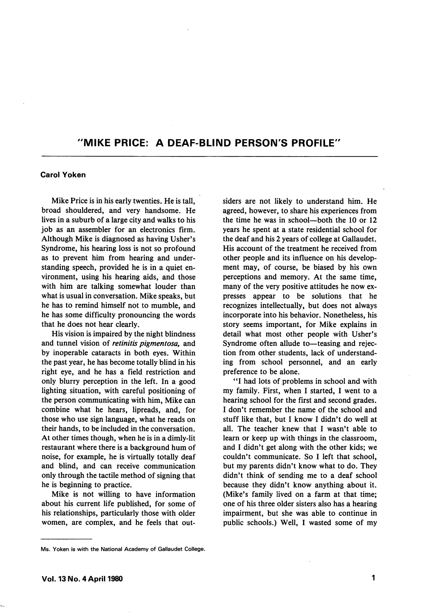## "MIKE PRICE: A DEAF-BLIND PERSON'S PROFILE"

## Carol Yoken

Mike Price is in his early twenties. He is tail, broad shouldered, and very handsome. He lives in a suburb of a large city and walks to his job as an assembler for an electronics firm. Although Mike is diagnosed as having Usher's Syndrome, his hearing loss is not so profound as to prevent him from hearing and under standing speech, provided he is in a quiet en vironment, using his hearing aids, and those with him are talking somewhat louder than what is usual in conversation. Mike speaks, but he has to remind himself not to mumble, and he has some difficulty pronouncing the words that he does not hear clearly.

His vision is impaired by the night blindness and tunnel vision of retinitis pigmentosa, and by inoperable cataracts in both eyes. Within the past year, he has become totally blind in his right eye, and he has a field restriction and only blurry perception in the left. In a good lighting situation, with careful positioning of the person communicating with him, Mike can combine what he hears, lipreads, and, for those who use sign language, what he reads on their hands, to be included in the conversation. At other times though, when he is in a dimly-lit restaurant where there is a background hum of noise, for example, he is virtually totally deaf and blind, and can receive communication only through the tactile method of signing that he is beginning to practice.

Mike is not willing to have information about his current life published, for some of his relationships, particularly those with older women, are complex, and he feels that out siders are not likely to understand him. He agreed, however, to share his experiences from the time he was in school—both the 10 or 12 years he spent at a state residential school for the deaf and his 2 years of college at Gallaudet. His account of the treatment he received from other people and its influence on his develop ment may, of course, be biased by his own perceptions and memory. At the same time, many of the very positive attitudes he now ex presses appear to be solutions that he recognizes intellectually, but does not always incorporate into his behavior. Nonetheless, his story seems important, for Mike explains in detail what most other people with Usher's Syndrome often allude to—teasing and rejec tion from other students, lack of understand ing from school personnel, and an early preference to be alone.

\*\*1 had lots of problems in school and with my family. First, when 1 started, 1 went to a hearing school for the first and second grades. 1 don't remember the name of the school and stuff like that, but 1 know 1 didn't do well at all. The teacher knew that 1 wasn't able to learn or keep up with things in the classroom, and 1 didn't get along with the other kids; we couldn't communicate. So 1 left that school, but my parents didn't know what to do. They didn't think of sending me to a deaf school because they didn't know anything about it. (Mike's family lived on a farm at that time; one of his three older sisters also has a hearing impairment, but she was able to continue in public schools.) Well, 1 wasted some of my

Ms. Yoken is with the National Academy of Gallaudet College.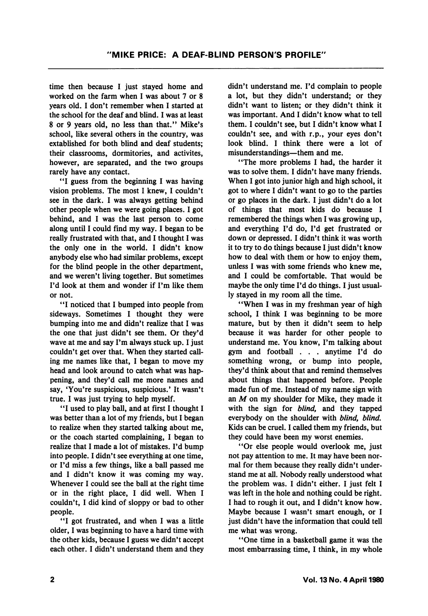time then because 1 just stayed home and worked on the farm when I was about 7 or 8 years old. I don't remember when I started at the school for the deaf and blind. 1 was at least 8 or 9 years old, no less than that." Mike's school, like several others in the country, was extablished for both blind and deaf students; their classrooms, dormitories, and activites, however, are separated, and the two groups rarely have any contact.

"I guess from the beginning I was having vision problems. The most I knew, I couldn't see in the dark. I was always getting behind other people when we were going places. I got behind, and I was the last person to come along until I could find my way. 1 began to be really frustrated with that, and I thought I was the only one in the world. I didn't know anybody else who had similar problems, except for the blind people in the other department, and we weren't living together. But sometimes I'd look at them and wonder if I'm like them or not.

\*\*I noticed that I bumped into people from sideways. Sometimes I thought they were bumping into me and didn't realize that I was the one that just didn't see them. Or they'd wave at me and say I'm always stuck up. I just couldn't get over that. When they started call ing me names like that, I began to move my head and look around to catch what was hap pening, and they'd call me more names and say, 'You're suspicious, suspicious.' It wasn't true. I was just trying to help myself.

"I used to play ball, and at first I thought I was better than a lot of my friends, but I began to realize when they started talking about me, or the coach started complaining, I began to realize that I made a lot of mistakes. I'd bump into people. I didn't see everything at one time, or I'd miss a few things, like a ball passed me and I didn't know it was coming my way. Whenever I could see the ball at the right time or in the right place, I did well. When I couldn't, I did kind of sloppy or bad to other people.

"I got frustrated, and when I was a little older, I was beginning to have a hard time with the other kids, because I guess we didn't accept each other. I didn't understand them and they

didn't understand me. I'd complain to people a lot, but they didn't understand; or they didn't want to listen; or they didn't think it was important. And I didn't know what to tell them. I couldn't see, but I didn't know what I couldn't see, and with r.p., your eyes don't look blind. I think there were a lot of misunderstandings—them and me.

"The more problems I had, the harder it was to solve them. I didn't have many friends. When I got into junior high and high school, it got to where I didn't want to go to the parties or go places in the dark. I just didn't do a lot of things that most kids do because I remembered the things when I was growing up, and everything I'd do, I'd get frustrated or down or depressed. I didn't think it was worth it to try to do things because I just didn't know how to deal with them or how to enjoy them, unless I was with some friends who knew me, and I could be comfortable. That would be maybe the only time I'd do things. I just usual ly stayed in my room all the time.

"When I was in my freshman year of high school, I think I was beginning to be more mature, but by then it didn't seem to help because it was harder for other people to understand me. You know, I'm talking about gym and football . . . anytime I'd do something wrong, or bump into people, they'd think about that and remind themselves about things that happened before. People made fun of me. Instead of my name sign with an  $M$  on my shoulder for Mike, they made it with the sign for *blind*, and they tapped everybody on the shoulder with blind, blind. Kids can be cruel. I called them my friends, but they could have been my worst enemies.

"Or else people would overlook me, just not pay attention to me. It may have been nor mal for them because they really didn't under stand me at all. Nobody really understood what the problem was. I didn't either. I just felt I was left in the hole and nothing could be right. I had to rough it out, and I didn't know how. Maybe because I wasn't smart enough, or I just didn't have the information that could tell me what was wrong.

"One time in a basketball game it was the most embarrassing time, I think, in my whole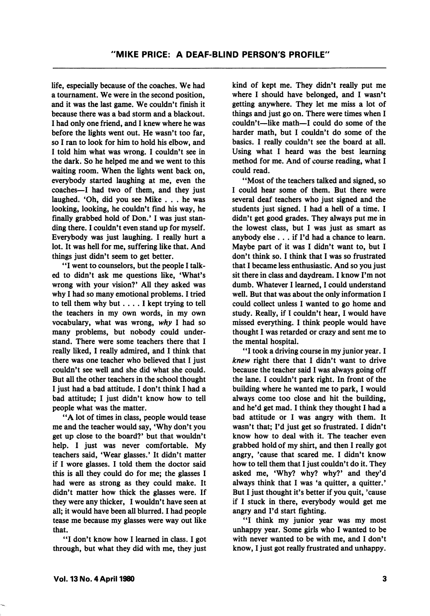life, especially because of the coaches. We had a tournament. We were in the second position, and it was the last game. We couldn't finish it because there was a bad storm and a blackout. I had only one friend, and I knew where he was before the lights went out. He wasn't too far, so I ran to look for him to hold his elbow, and I told him what was wrong. 1 couldn't see in the dark. So he helped me and we went to this waiting room. When the lights went back on, everybody started laughing at me, even the coaches—I had two of them, and they just laughed. \*0h, did you see Mike ... he was looking, looking, he couldn't find his way, he finally grabbed hold of Don.' I was just stan ding there. I couldn't even stand up for myself. Everybody was just laughing. I really hurt a lot. It was hell for me, suffering like that. And things just didn't seem to get better.

"I went to counselors, but the people I talked to didn't ask me questions like, 'What's wrong with your vision?' All they asked was why I had so many emotional problems. I tried to tell them why but.... I kept trying to tell the teachers in my own words, in my own vocabulary, what was wrong, why I had so many problems, but nobody could under stand. There were some teachers there that I really liked, I really admired, and I think that there was one teacher who believed that I just couldn't see well and she did what she could. But all the other teachers in the school thought I just had a bad attitude. I don't think I had a bad attitude: I just didn't know how to tell people what was the matter.

"A lot of times in class, people would tease me and the teacher would say, 'Why don't you get up close to the board?' but that wouldn't help. I just was never comfortable. My teachers said, 'Wear glasses.' It didn't matter if I wore glasses. I told them the doctor said this is all they could do for me; the glasses I had were as strong as they could make. It didn't matter how thick the glasses were. If they were any thicker, I wouldn't have seen at all; it would have been all blurred. I had people tease me because my glasses were way out like that.

"I don't know how I learned in class. I got through, but what they did with me, they just kind of kept me. They didn't really put me where I should have belonged, and I wasn't getting anywhere. They let me miss a lot of things and just go on. There were times when I couldn't—like math—I could do some of the harder math, but I couldn't do some of the basics. I really couldn't see the board at all. Using what I heard was the best learning method for me. And of course reading, what I could read.

"Most of the teachers talked and signed, so I could hear some of them. But there were several deaf teachers who just signed and the students just signed. I had a hell of a time. I didn't get good grades. They always put me in the lowest class, but I was just as smart as anybody else ... if I'd had a chance to learn. Maybe part of it was I didn't want to, but I don't think so. I think that I was so frustrated that I became less enthusiastic. And so you just sit there in class and daydream. I know I'm not dumb. Whatever I learned, I could understand well. But that was about the only information I could collect unless I wanted to go home and study. Really, if I couldn't hear, I would have missed everything. I think people would have thought I was retarded or crazy and sent me to the mental hospital.

"I took a driving course in my junior year. I knew right there that I didn't want to drive because the teacher said I was always going off the lane. I couldn't park right. In front of the building where he wanted me to park, I would always come too close and hit the building, and he'd get mad. I think they thought I had a bad attitude or I was angry with them. It wasn't that; I'd just get so frustrated. I didn't know how to deal with it. The teacher even grabbed hold of my shirt, and then I really got angry, 'cause that scared me. I didn't know how to tell them that I just couldn't do it. They asked me, 'Why? why? why?' and they'd always think that I was 'a quitter, a quitter.' But I just thought it's better if you quit, 'cause if I stuck in there, everybody would get me angry and I'd start fighting.

"I think my junior year was my most unhappy year. Some girls who I wanted to be with never wanted to be with me, and I don't know, I just got really frustrated and unhappy.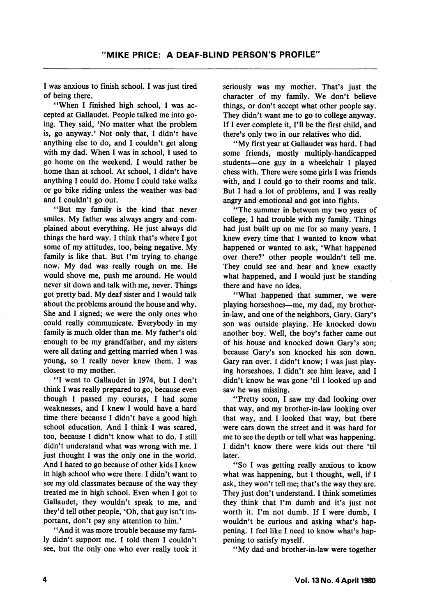I was anxious to finish school. I was just tired of being there.

"When I finished high school, I was accepted at Gallaudet. People talked me into go ing. They said, \*No matter what the problem is, go anyway.' Not only that, I didn't have anything else to do, and I couldn't get along with my dad. When I was in school, I used to go home on the weekend. I would rather be home than at school. At school, I didn't have anything I could do. Home I could take walks or go bike riding unless the weather was bad and I couldn't go out.

\*\*But my family is the kind that never smiles. My father was always angry and com plained about everything. He just always did things the hard way. I think that's where I got some of my attitudes, too, being negative. My family is like that. But I'm trying to change now. My dad was really rough on me. He would shove me, push me around. He would never sit down and talk with me, never. Things got pretty bad. My deaf sister and I would talk about the problems around the house and why. She and I signed; we were the only ones who could really communicate. Everybody in my family is much older than me. My father's old enough to be my grandfather, and my sisters were all dating and getting married when I was young, so I really never knew them. I was closest to my mother.

"I went to Gallaudet in 1974, but I don't think I was really prepared to go, because even though I passed my courses, I had some weaknesses, and I knew I would have a hard time there because I didn't have a good high school education. And I think I was scared, too, because I didn't know what to do. I still didn't understand what was wrong with me. I just thought I was the only one in the world. And I hated to go because of other kids I knew in high school who were there. I didn't want to see my old classmates because of the way they treated me in high school. Even when I got to Gallaudet, they wouldn't speak to me, and they'd tell other people, \*Oh, that guy isn't im portant, don't pay any attention to him.'

\*\*And it was more trouble because my fami ly didn't support me. I told them I couldn't see, but the only one who ever really took it seriously was my mother. That's just the character of my family. We don't believe things, or don't accept what other people say. They didn't want me to go to college anyway. If I ever complete it, I'll be the first child, and there's only two in our relatives who did.

'\*My first year at Gallaudet was hard. I had some friends, mostly multiply-handicapped students—one guy in a wheelchair I played chess with. There were some girls I was friends with, and I could go to their rooms and talk. But I had a lot of problems, and I was really angry and emotional and got into fights.

"The summer in between my two years of college, I had trouble with my family. Things had just built up on me for so many years. I knew every time that I wanted to know what happened or wanted to ask, 'What happened over there?' other people wouldn't tell me. They could see and hear and knew exactly what happened, and I would just be standing there and have no idea.

"What happened that summer, we were playing horseshoes—me, my dad, my brotherin-law, and one of the neighbors, Gary. Gary's son was outside playing. He knocked down another boy. Well, the boy's father came out of his house and knocked down Gary's son; because Gary's son knocked his son down. Gary ran over. I didn't know; I was just play ing horseshoes. I didn't see him leave, and I didn't know he was gone 'til I looked up and saw he was missing.

\*Tretty soon, I saw my dad looking over that way, and my brother-in-law looking over that way, and I looked that way, but there were cars down the street and it was hard for me to see the depth or tell what was happening. I didn't know there were kids out there 'til later.

\*\*So I was getting really anxious to know what was happening, but I thought, well, if I ask, they won't tell me; that's the way they are. They just don't understand. I think sometimes they think that I'm dumb and it's just not worth it. I'm not dumb. If I were dumb, I wouldn't be curious and asking what's hap pening. I feel like I need to know what's hap pening to satisfy myself.

\*'My dad and brother-in-law were together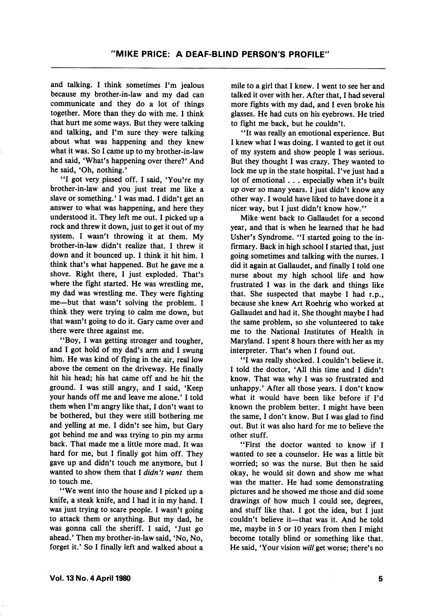and talking. I think sometimes I'm jealous because my brother-in-law and my dad can communicate and they do a lot of things together. More than they do with me. I think that hurt me some ways. But they were talking and talking, and I'm sure they were talking about what was happening and they knew what it was. So I came up to my brother-in-law and said, 'What's happening over there?' And he said, 'Oh, nothing.'

'\*I got very pissed off. I said, 'You're my brother-in-law and you just treat me like a slave or something.' I was mad. I didn't get an answer to what was happening, and here they understood it. They left me out. I picked up a rock and threw it down, just to get it out of my system. I wasn't throwing it at them. My brother-in-law didn't realize that. I threw it down and it bounced up. I think it hit him. I think that's what happened. But he gave me a shove. Right there, I just exploded. That's where the fight started. He was wrestling me, my dad was wrestling me. They were fighting me—but that wasn't solving the problem. I think they were trying to calm me down, but that wasn't going to do it. Gary came over and there were three against me.

"Boy, I was getting stronger and tougher, and I got hold of my dad's arm and I swung him. He was kind of flying in the air, real low above the cement on the driveway. He finally hit his head; his hat came off and he hit the ground. I was still angry, and I said, 'Keep your hands off me and leave me alone.' I told them when I'm angry like that, I don't want to be bothered, but they were still bothering me and yelling at me. I didn't see him, but Gary got behind me and was trying to pin my arms back. That made me a little more mad. It was hard for me, but I finally got him off. They gave up and didn't touch me anymore, but I wanted to show them that I didn't want them to touch me.

"We went into the house and I picked up a knife, a steak knife, and I had it in my hand. I was just trying to scare people. I wasn't going to attack them or anything. But my dad, he was gonna call the sheriff. I said, 'Just go ahead.' Then my brother-in-law said, 'No, No, forget it.' So I finally left and walked about a mile to a girl that I knew. I went to see her and talked it over with her. After that, I had several more fights with my dad, and I even broke his glasses. He had cuts on his eyebrows. He tried to fight me back, but he couldn't.

"It was really an emotional experience. But I knew what I was doing. I wanted to get it out of my system and show people I was serious. But they thought I was crazy. They wanted to lock me up in the state hospital. I've just had a lot of emotional. . . especially when it's built up over so many years. I just didn't know any other way. I would have liked to have done it a nicer way, but I just didn't know how."

Mike went back to Gallaudet for a second year, and that is when he learned that he had Usher's Syndrome. "I started going to the in firmary. Back in high school I started that, just going sometimes and talking with the nurses. I did it again at Gallaudet, and finally I told one nurse about my high school life and how frustrated I was in the dark and things like that. She suspected that maybe I had r.p., because she knew Art Roehrig who worked at Gallaudet and had it. She thought maybe I had the same problem, so she volunteered to take me to the National Institutes of Health in Maryland. I spent 8 hours there with her as my interpreter. That's when I found out.

"I was really shocked. I couldn't believe it. I told the doctor, 'All this time and I didn't know. That was why I was so frustrated and unhappy.' After all those years. I don't know what it would have been like before if I'd known the problem better. I might have been the same, I don't know. But I was glad to find out. But it was also hard for me to believe the other stuff.

"First the doctor wanted to know if I wanted to see a counselor. He was a little bit worried; so was the nurse. But then he said okay, he would sit down and show me what was the matter. He had some demonstrating pictures and he showed me those and did some drawings of how much I could see, degrees, and stuff like that. I got the idea, but I just couldn't believe it—that was it. And he told me, maybe in 5 or 10 years from then I might become totally blind or something like that. He said, 'Your vision will get worse; there's no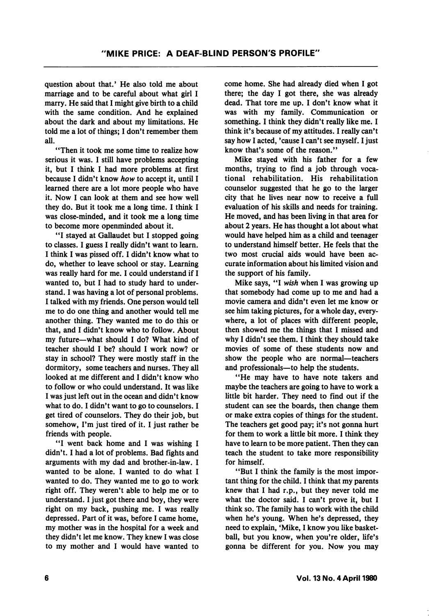question about that.' He also told me about marriage and to be careful about what girl I marry. He said that I might give birth to a child with the same condition. And he explained about the dark and about my limitations. He told me a lot of things; 1 don't remember them all.

"Then it took me some time to realize how serious it was. 1 still have problems accepting it, but I think I had more problems at first because I didn't know how to accept it, until I learned there are a lot more people who have it. Now I can look at them and see how well they do. But it took me a long time. 1 think 1 was close-minded, and it took me a long time to become more openminded about it.

"I stayed at Gallaudet but I stopped going to classes. 1 guess I really didn't want to learn. I think I was pissed off. 1 didn't know what to do, whether to leave school or stay. Learning was really hard for me. I could understand if I wanted to, but I had to study hard to under stand. I was having a lot of personal problems. I talked with my friends. One person would tell me to do one thing and another would tell me another thing. They wanted me to do this or that, and I didn't know who to follow. About my future—what should I do? What kind of teacher should I be? should I work now? or stay in school? They were mostly staff in the dormitory, some teachers and nurses. They all looked at me different and I didn't know who to follow or who could understand. It was like I was just left out in the ocean and didn't know what to do. I didn't want to go to counselors. I get tired of counselors. They do their job, but somehow, I'm just tired of it. I just rather be friends with people.

"I went back home and I was wishing I didn't. I had a lot of problems. Bad fights and arguments with my dad and brother-in-law. I wanted to be alone. I wanted to do what I wanted to do. They wanted me to go to work right off. They weren't able to help me or to understand. I just got there and boy, they were right on my back, pushing me. I was really depressed. Part of it was, before I came home, my mother was in the hospital for a week and they didn't let me know. They knew I was close to my mother and I would have wanted to

come home. She had already died when I got there; the day I got there, she was already dead. That tore me up. I don't know what it was with my family. Communication or something. I think they didn't really like me. I think it's because of my attitudes. I really can't say how I acted, 'cause I can't see myself. I just know that's some of the reason."

Mike stayed with his father for a few months, trying to find a job through voca tional rehabilitation. His rehabilitation counselor suggested that he go to the larger city that he lives near now to receive a full evaluation of his skills and needs for training. He moved, and has been living in that area for about 2 years. He has thought a lot about what would have helped him as a child and teenager to understand himself better. He feels that the two most crucial aids would have been ac curate information about his limited vision and the support of his family.

Mike says, "I wish when I was growing up that somebody had come up to me and had a movie camera and didn't even let me know or see him taking pictures, for a whole day, every where, a lot of places with different people, then showed me the things that I missed and why I didn't see them. I think they should take movies of some of these students now and show the people who are normal—teachers and professionals—to help the students.

"He may have to have note takers and maybe the teachers are going to have to work a little bit harder. They need to find out if the student can see the boards, then change them or make extra copies of things for the student. The teachers get good pay; it's not gonna hurt for them to work a little bit more. I think they have to learn to be more patient. Then they can teach the student to take more responsibility for himself.

"But I think the family is the most impor tant thing for the child. I think that my parents knew that I had r.p., but they never told me what the doctor said. I can't prove it, but I think so. The family has to work with the child when he's young. When he's depressed, they need to explain, \*Mike, I know you like basket ball, but you know, when you're older, life's gonna be different for you. Now you may